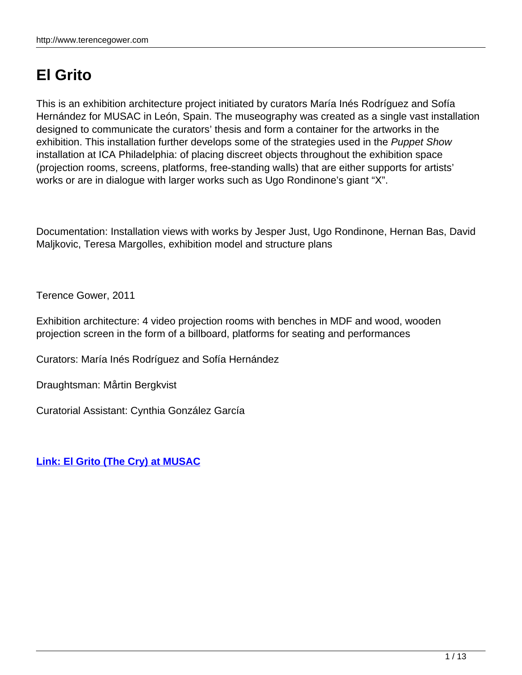## **El Grito**

This is an exhibition architecture project initiated by curators María Inés Rodríguez and Sofía Hernández for MUSAC in León, Spain. The museography was created as a single vast installation designed to communicate the curators' thesis and form a container for the artworks in the exhibition. This installation further develops some of the strategies used in the Puppet Show installation at ICA Philadelphia: of placing discreet objects throughout the exhibition space (projection rooms, screens, platforms, free-standing walls) that are either supports for artists' works or are in dialogue with larger works such as Ugo Rondinone's giant "X".

Documentation: Installation views with works by Jesper Just, Ugo Rondinone, Hernan Bas, David Maljkovic, Teresa Margolles, exhibition model and structure plans

Terence Gower, 2011

Exhibition architecture: 4 video projection rooms with benches in MDF and wood, wooden projection screen in the form of a billboard, platforms for seating and performances

Curators: María Inés Rodríguez and Sofía Hernández

Draughtsman: Mårtin Bergkvist

Curatorial Assistant: Cynthia González García

**[Link: El Grito \(The Cry\) at MUSAC](http://www.musac.es/#exposiciones/expo/?id=355&from=anteriores)**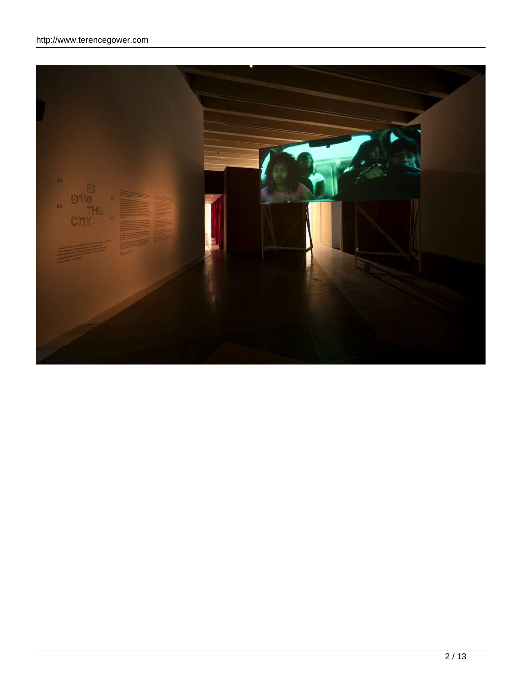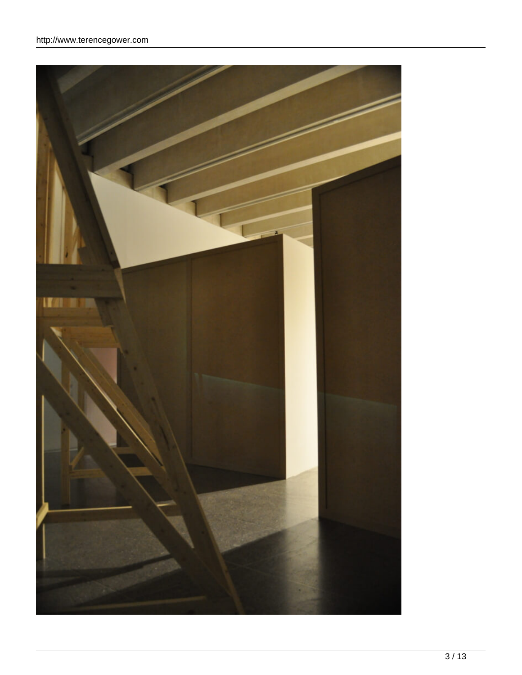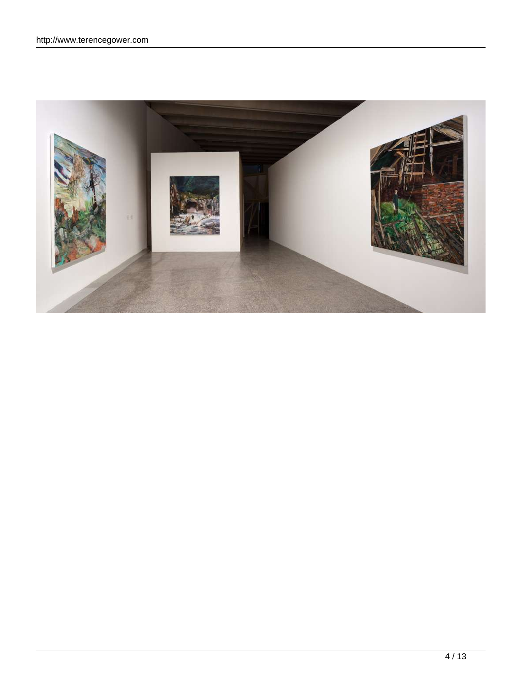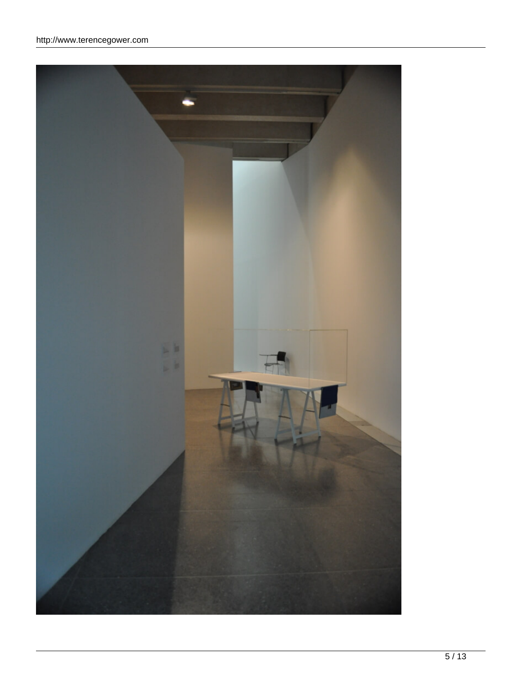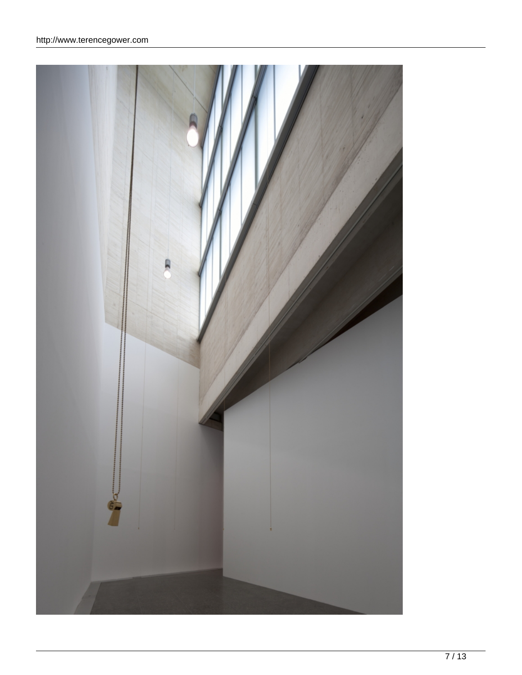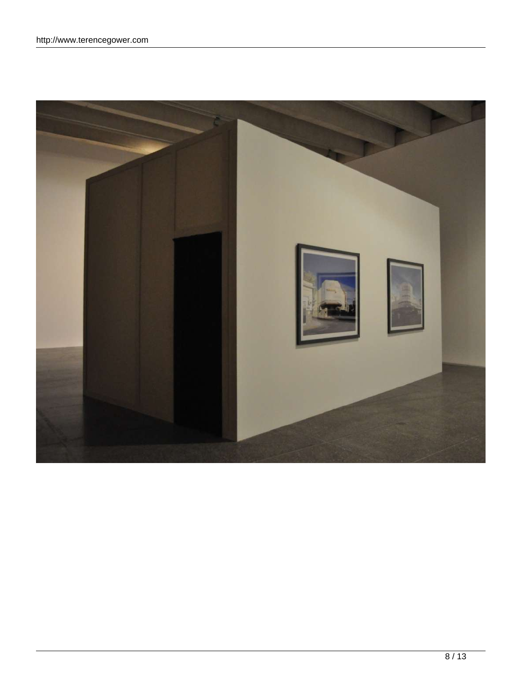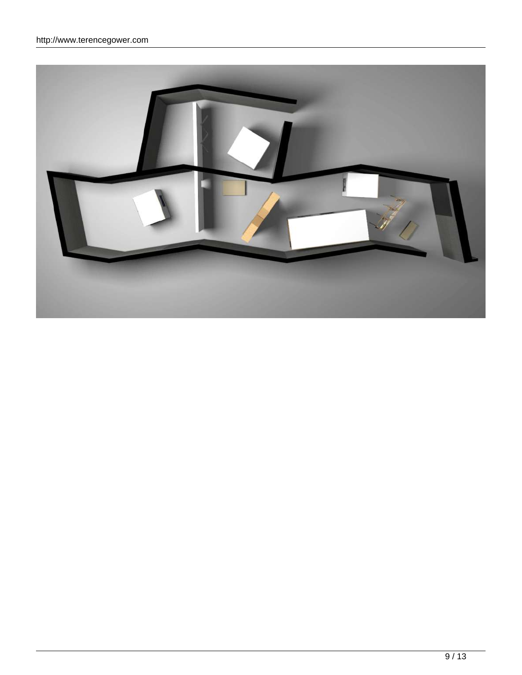